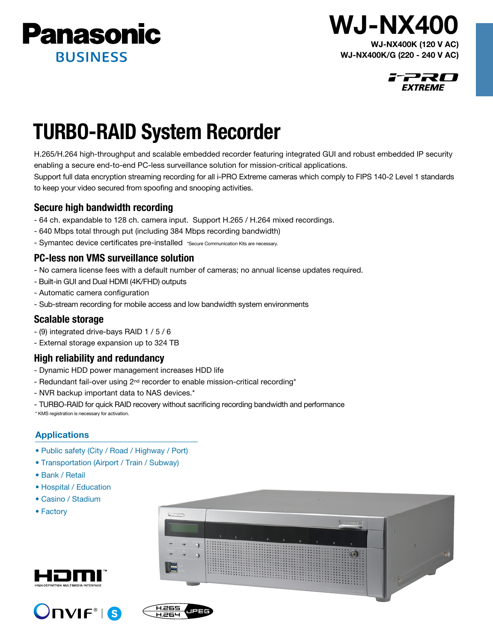

## WJ-NX400K (120 V AC) WJ-NX400

WJ-NX400K/G (220 - 240 V AC)



# TURBO-RAID System Recorder

H.265/H.264 high-throughput and scalable embedded recorder featuring integrated GUI and robust embedded IP security enabling a secure end-to-end PC-less surveillance solution for mission-critical applications.

Support full data encryption streaming recording for all i-PRO Extreme cameras which comply to FIPS 140-2 Level 1 standards to keep your video secured from spoofing and snooping activities.

## Secure high bandwidth recording

- 64 ch. expandable to 128 ch. camera input. Support H.265 / H.264 mixed recordings.
- 640 Mbps total through put (including 384 Mbps recording bandwidth)
- Symantec device certificates pre-installed \*Secure Communication Kits are necessary.

## PC-less non VMS surveillance solution

- No camera license fees with a default number of cameras; no annual license updates required.
- Built-in GUI and Dual HDMI (4K/FHD) outputs
- Automatic camera configuration
- Sub-stream recording for mobile access and low bandwidth system environments

## Scalable storage

- (9) integrated drive-bays RAID 1 / 5 / 6
- External storage expansion up to 324 TB

## High reliability and redundancy

- Dynamic HDD power management increases HDD life
- Redundant fail-over using 2<sup>nd</sup> recorder to enable mission-critical recording<sup>\*</sup>
- NVR backup important data to NAS devices.\*
- TURBO-RAID for quick RAID recovery without sacrificing recording bandwidth and performance

\* KMS registration is necessary for activation.

### Applications

- Public safety (City / Road / Highway / Port)
- Transportation (Airport / Train / Subway)
- Bank / Retail
- Hospital / Education
- Casino / Stadium
- Factory